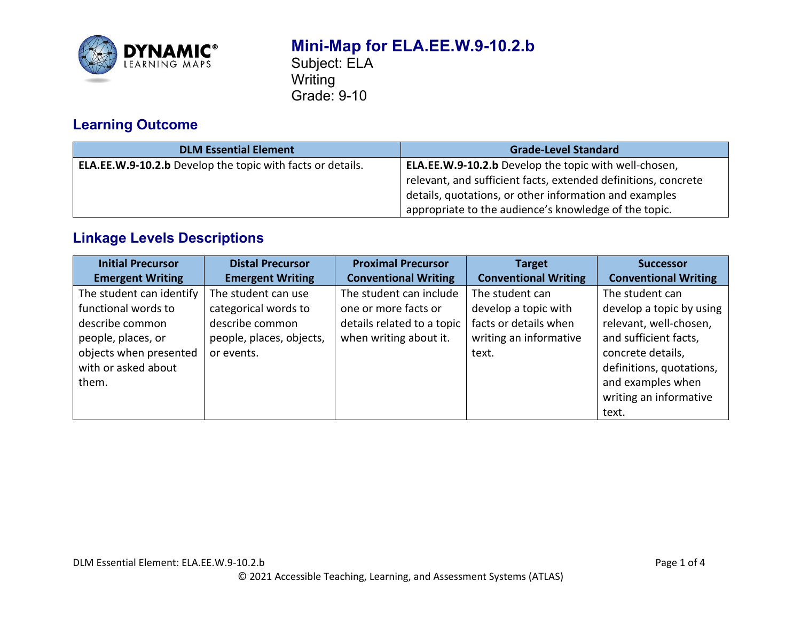

# **Mini-Map for ELA.EE.W.9-10.2.b**

Subject: ELA **Writing** Grade: 9-10

# **Learning Outcome**

| <b>DLM Essential Element</b>                                      | <b>Grade-Level Standard</b>                                    |
|-------------------------------------------------------------------|----------------------------------------------------------------|
| <b>ELA.EE.W.9-10.2.b</b> Develop the topic with facts or details. | <b>ELA.EE.W.9-10.2.b</b> Develop the topic with well-chosen,   |
|                                                                   | relevant, and sufficient facts, extended definitions, concrete |
|                                                                   | details, quotations, or other information and examples         |
|                                                                   | appropriate to the audience's knowledge of the topic.          |

# **Linkage Levels Descriptions**

| <b>Initial Precursor</b> | <b>Distal Precursor</b>  | <b>Proximal Precursor</b>   | <b>Target</b>               | <b>Successor</b>            |
|--------------------------|--------------------------|-----------------------------|-----------------------------|-----------------------------|
| <b>Emergent Writing</b>  | <b>Emergent Writing</b>  | <b>Conventional Writing</b> | <b>Conventional Writing</b> | <b>Conventional Writing</b> |
| The student can identify | The student can use      | The student can include     | The student can             | The student can             |
| functional words to      | categorical words to     | one or more facts or        | develop a topic with        | develop a topic by using    |
| describe common          | describe common          | details related to a topic  | facts or details when       | relevant, well-chosen,      |
| people, places, or       | people, places, objects, | when writing about it.      | writing an informative      | and sufficient facts,       |
| objects when presented   | or events.               |                             | text.                       | concrete details,           |
| with or asked about      |                          |                             |                             | definitions, quotations,    |
| them.                    |                          |                             |                             | and examples when           |
|                          |                          |                             |                             | writing an informative      |
|                          |                          |                             |                             | text.                       |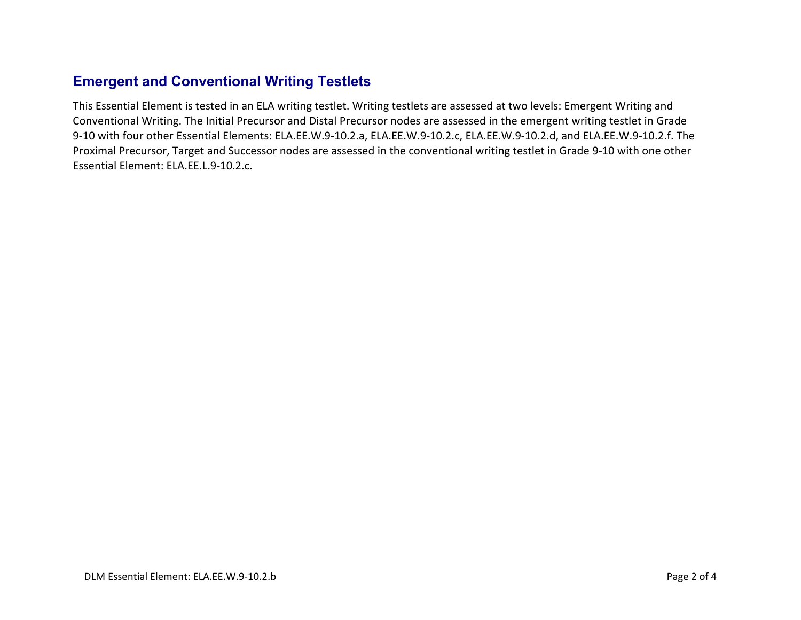## **Emergent and Conventional Writing Testlets**

This Essential Element is tested in an ELA writing testlet. Writing testlets are assessed at two levels: Emergent Writing and Conventional Writing. The Initial Precursor and Distal Precursor nodes are assessed in the emergent writing testlet in Grade 9-10 with four other Essential Elements: ELA.EE.W.9-10.2.a, ELA.EE.W.9-10.2.c, ELA.EE.W.9-10.2.d, and ELA.EE.W.9-10.2.f. The Proximal Precursor, Target and Successor nodes are assessed in the conventional writing testlet in Grade 9-10 with one other Essential Element: ELA.EE.L.9-10.2.c.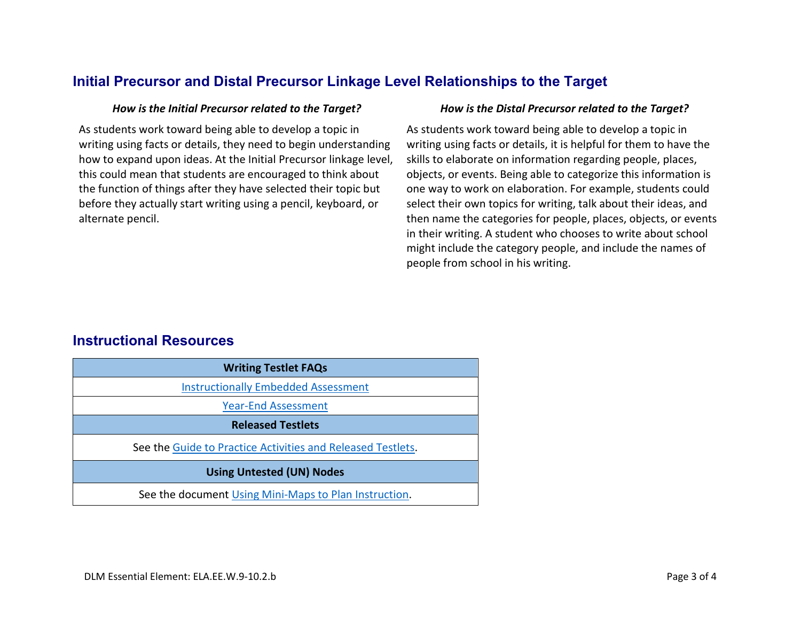## **Initial Precursor and Distal Precursor Linkage Level Relationships to the Target**

As students work toward being able to develop a topic in writing using facts or details, they need to begin understanding how to expand upon ideas. At the Initial Precursor linkage level, this could mean that students are encouraged to think about the function of things after they have selected their topic but before they actually start writing using a pencil, keyboard, or alternate pencil.

### *How is the Initial Precursor related to the Target? How is the Distal Precursor related to the Target?*

As students work toward being able to develop a topic in writing using facts or details, it is helpful for them to have the skills to elaborate on information regarding people, places, objects, or events. Being able to categorize this information is one way to work on elaboration. For example, students could select their own topics for writing, talk about their ideas, and then name the categories for people, places, objects, or events in their writing. A student who chooses to write about school might include the category people, and include the names of people from school in his writing.

## **Instructional Resources**

| <b>Writing Testlet FAQs</b>                                 |  |  |
|-------------------------------------------------------------|--|--|
| <b>Instructionally Embedded Assessment</b>                  |  |  |
| <b>Year-End Assessment</b>                                  |  |  |
| <b>Released Testlets</b>                                    |  |  |
| See the Guide to Practice Activities and Released Testlets. |  |  |
| <b>Using Untested (UN) Nodes</b>                            |  |  |
| See the document Using Mini-Maps to Plan Instruction.       |  |  |